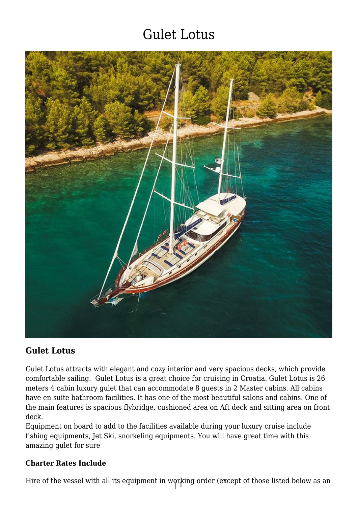

## **Gulet Lotus**

Gulet Lotus attracts with elegant and cozy interior and very spacious decks, which provide comfortable sailing. Gulet Lotus is a great choice for cruising in Croatia. Gulet Lotus is 26 meters 4 cabin luxury gulet that can accommodate 8 guests in 2 Master cabins. All cabins have en suite bathroom facilities. It has one of the most beautiful salons and cabins. One of the main features is spacious flybridge, cushioned area on Aft deck and sitting area on front deck.

Equipment on board to add to the facilities available during your luxury cruise include fishing equipments, Jet Ski, snorkeling equipments. You will have great time with this amazing gulet for sure

#### **Charter Rates Include**

Hire of the vessel with all its equipment in working order (except of those listed below as an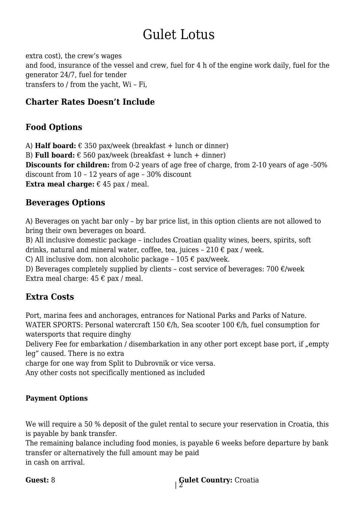extra cost), the crew's wages and food, insurance of the vessel and crew, fuel for 4 h of the engine work daily, fuel for the generator 24/7, fuel for tender transfers to / from the yacht, Wi – Fi,

## **Charter Rates Doesn't Include**

## **Food Options**

A) **Half board:**  $\epsilon$  350 pax/week (breakfast + lunch or dinner)

B) **Full board:**  $\epsilon$  560 pax/week (breakfast + lunch + dinner)

**Discounts for children:** from 0-2 years of age free of charge, from 2-10 years of age -50% discount from 10 – 12 years of age – 30% discount

**Extra meal charge:**  $\epsilon$  45 pax / meal.

## **Beverages Options**

A) Beverages on yacht bar only – by bar price list, in this option clients are not allowed to bring their own beverages on board.

B) All inclusive domestic package – includes Croatian quality wines, beers, spirits, soft drinks, natural and mineral water, coffee, tea, juices - 210  $\epsilon$  pax / week.

C) All inclusive dom. non alcoholic package -  $105 \epsilon$  pax/week.

D) Beverages completely supplied by clients - cost service of beverages: 700  $\epsilon$ /week Extra meal charge:  $45 \text{ } \in \text{pax}$  / meal.

## **Extra Costs**

Port, marina fees and anchorages, entrances for National Parks and Parks of Nature. WATER SPORTS: Personal watercraft 150  $\epsilon$ /h, Sea scooter 100  $\epsilon$ /h, fuel consumption for watersports that require dinghy

Delivery Fee for embarkation / disembarkation in any other port except base port, if "empty leg" caused. There is no extra

charge for one way from Split to Dubrovnik or vice versa.

Any other costs not specifically mentioned as included

### **Payment Options**

We will require a 50 % deposit of the gulet rental to secure your reservation in Croatia, this is payable by bank transfer.

The remaining balance including food monies, is payable 6 weeks before departure by bank transfer or alternatively the full amount may be paid in cash on arrival.

| 2 **Guest:** 8 **Gulet Country:** Croatia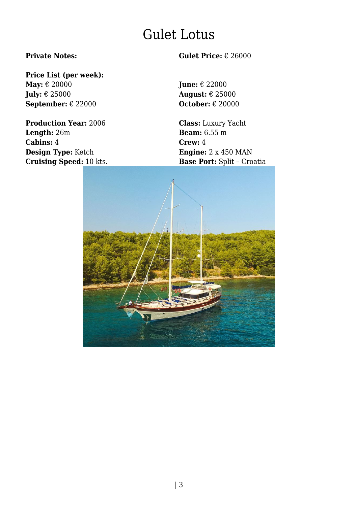## **Price List (per week):**

**May:** € 20000 **June:** € 22000 **July:** € 25000 **August:** € 25000 **September:** € 22000 **October:** € 20000

**Production Year:** 2006 **Class:** Luxury Yacht **Length:** 26m **Beam:** 6.55 m **Cabins:** 4 **Crew:** 4 **Design Type:** Ketch **Engine:** 2 x 450 MAN **Cruising Speed:** 10 kts. **Base Port:** Split – Croatia

#### **Private Notes: Gulet Price:** € 26000

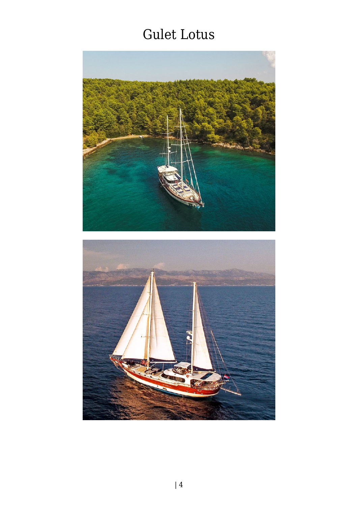

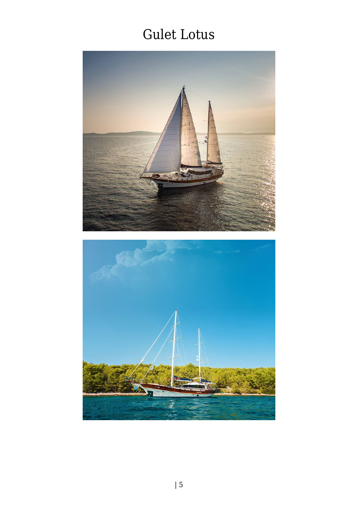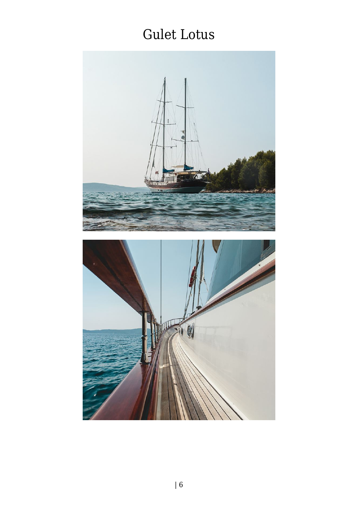